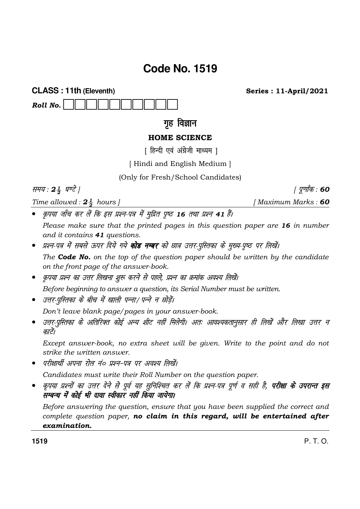# Code No. 1519

**CLASS: 11th (Eleventh)** 

Roll No.

## गृह विज्ञान

### **HOME SCIENCE**

[ हिन्दी एवं अंग्रेजी माध्यम ]

[Hindi and English Medium]

(Only for Fresh/School Candidates)

समय: 24 घण्टे |

Time allowed:  $2\frac{1}{2}$  hours |

*। पूर्णांक* : 60

कृपया जाँच कर लें कि इस प्रश्न-पत्र में मुद्रित पृष्ठ 16 तथा प्रश्न 41 हैं।

Please make sure that the printed pages in this question paper are 16 in number and it contains 41 questions.

- प्रश्न-पत्र में सबसे ऊपर दिये गये **कोड नम्बर** को छात्र उत्तर-पुस्तिका के मुख्य-पुष्ठ पर लिखें। The **Code No.** on the top of the question paper should be written by the candidate on the front page of the answer-book.
- कृपया प्रश्न का उत्तर लिखना शुरू करने से पहले, प्रश्न का क्रमांक अवश्य लिखें। Before beginning to answer a question, its Serial Number must be written.
- उत्तर-पुस्तिका के बीच में खाली पन्ना/पन्ने न छोड़ें।

Don't leave blank page/pages in your answer-book.

• उत्तर-पुस्तिका के अतिरिक्त कोई अन्य शीट नहीं मिलेगी। अतः आवश्यकतानुसार ही लिखें और लिखा उत्तर न काटें।

Except answer-book, no extra sheet will be given. Write to the point and do not strike the written answer.

• परीक्षार्थी अपना रोल नं० प्रश्न-पत्र पर अवश्य लिखें।

Candidates must write their Roll Number on the question paper.

• कृपया प्रश्नों का उत्तर देने से पूर्व यह सुनिश्चित कर लें कि प्रश्न-पत्र पूर्ण व सही है, **परीक्षा के उपरान्त इस** ू<br>सम्बन्ध में कोई भी दावा स्वीकार नहीं किया जायेगा।

Before answering the question, ensure that you have been supplied the correct and complete question paper, no claim in this regard, will be entertained after examination.

 $P, T, O.$ 

[Maximum Marks: 60

**Series: 11-April/2021**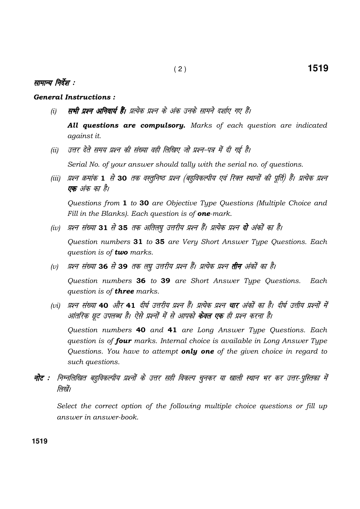#### सामान्य निर्देश :

#### **General Instructions:**

- सभी प्रश्न अनिवार्य हैं। प्रत्येक प्रश्न के अंक उनके सामने दर्शाए गए हैं।  $(i)$ 
	- All questions are compulsory. Marks of each question are indicated against it.
- उत्तर देते समय प्रश्न की संख्या वही लिखिए जो प्रश्न-पत्र में दी गई है।  $(ii)$ Serial No. of your answer should tally with the serial no. of questions.
- (iii) प्रश्न क्रमांक 1 से 30 तक वस्तुनिष्ठ प्रश्न (बहुविकल्पीय एवं रिक्त स्थानों की पूर्ति) हैं। प्रत्येक प्रश्न **एक** अंक का है।

Questions from 1 to 30 are Objective Type Questions (Multiple Choice and Fill in the Blanks). Each question is of **one**-mark.

(iv) प्रश्न संख्या 31 से 35 तक अतिलघु उत्तरीय प्रश्न हैं। प्रत्येक प्रश्न **दो** अंकों का है।

Question numbers 31 to 35 are Very Short Answer Type Questions. Each question is of **two** marks.

प्रश्न संख्या 36 से 39 तक लघु उत्तरीय प्रश्न हैं। प्रत्येक प्रश्न **तीन** अंकों का है।  $(v)$ 

Question numbers 36 to 39 are Short Answer Type Questions. Each question is of **three** marks.

प्रश्न संख्या 40 और 41 दीर्घ उत्तरीय प्रश्न हैं। प्रत्येक प्रश्न **चार** अंकों का है। दीर्घ उत्तीय प्रश्नों में  $(vi)$ आंतरिक छूट उपलब्ध है। ऐसे प्रश्नों में से आपको **केवल एक** ही प्रश्न करना है।

Question numbers 40 and 41 are Long Answer Type Questions. Each question is of four marks. Internal choice is available in Long Answer Type Questions. You have to attempt only one of the given choice in regard to such questions.

नोट : निम्नलिखित बहुविकल्पीय प्रश्नों के उत्तर सही विकल्प चुनकर या खाली स्थान भर कर उत्तर-पुस्तिका में लिखें।

Select the correct option of the following multiple choice questions or fill up answer in answer-book.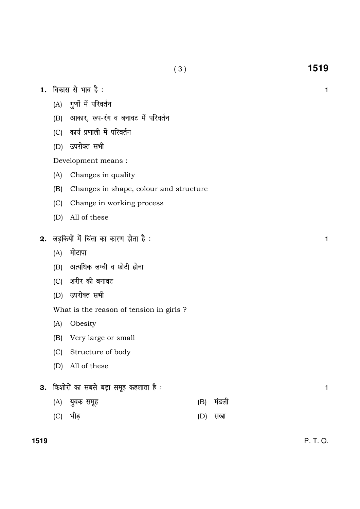$(3)$ 

- 1. विकास से भाव है :
	- (A) गुणों में परिवर्तन
	- (B) आकार, रूप-रंग व बनावट में परिवर्तन
	- (C) कार्य प्रणाली में परिवर्तन
	- (D) उपरोक्त सभी

Development means :

- $(A)$ Changes in quality
- (B) Changes in shape, colour and structure
- (C) Change in working process
- (D) All of these
- 2. लड़कियों में चिंता का कारण होता है:
	- (A) मोटापा
	- (B) अत्यधिक लम्बी व छोटी होना
	- (C) शरीर की बनावट
	- (D) उपरोक्त सभी
	- What is the reason of tension in girls ?
	- $(A)$ Obesity
	- (B) Very large or small
	- (C) Structure of body
	- (D) All of these
- 3. किशोरों का सबसे बड़ा समूह कहलाता है :
	- (A) युवक समूह (B) मंडली
	- (C) भीड़ (D) सखा

 $\mathbf{1}$ 

 $\mathbf{1}$ 

 $\mathbf{1}$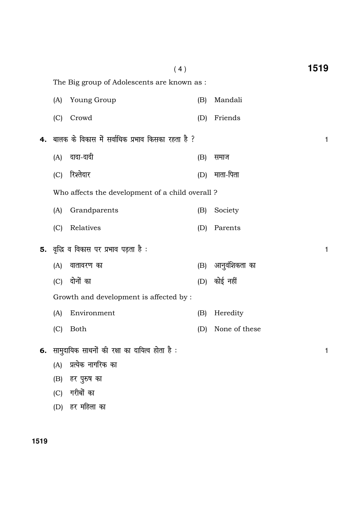|    |     | (4)                                                      |     |               | 1519         |
|----|-----|----------------------------------------------------------|-----|---------------|--------------|
|    |     | The Big group of Adolescents are known as :              |     |               |              |
|    | (A) | Young Group                                              | (B) | Mandali       |              |
|    | (C) | Crowd                                                    | (D) | Friends       |              |
| 4. |     | बालक के विकास में सर्वाधिक प्रभाव किसका रहता है ?        |     |               | $\mathbf{1}$ |
|    |     | (A) दादा-दादी                                            | (B) | समाज          |              |
|    | (C) | रिश्तेदार                                                | (D) | माता-पिता     |              |
|    |     | Who affects the development of a child overall?          |     |               |              |
|    | (A) | Grandparents                                             | (B) | Society       |              |
|    | (C) | Relatives                                                | (D) | Parents       |              |
|    |     | 5. वृद्धि व विकास पर प्रभाव पड़ता है:                    |     |               | $\mathbf{1}$ |
|    | (A) | वातावरण का                                               | (B) | आनुवंशिकता का |              |
|    | (C) | दोनों का                                                 |     | (D) कोई नहीं  |              |
|    |     | Growth and development is affected by :                  |     |               |              |
|    | (A) | Environment                                              | (B) | Heredity      |              |
|    | (C) | <b>Both</b>                                              | (D) | None of these |              |
|    |     | <b>6.</b> सामुदायिक साधनों की रक्षा का दायित्व होता है : |     |               | 1            |
|    | (A) | प्रत्येक नागरिक का                                       |     |               |              |
|    | (B) | हर पुरुष का                                              |     |               |              |
|    | (C) | गरीबों का                                                |     |               |              |
|    | (D) | हर महिला का                                              |     |               |              |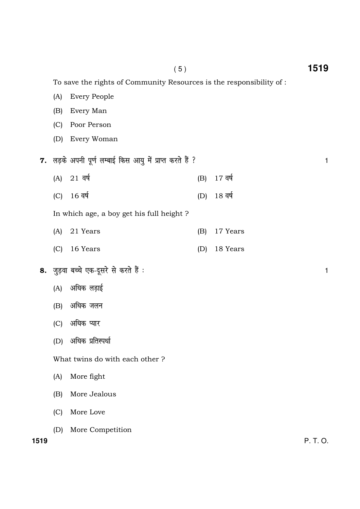(A) Every People (B) Every Man (C) Poor Person (D) Every Woman 7. लड़के अपनी पूर्ण लम्बाई किस आयु में प्राप्त करते हैं ? बाल का सामान कर कर बात कर बात है ।  $(A)$  21 वर्ष (B) 17 वर्ष (C) 16 वर्ष (D) 18 वर्ष In which age, a boy get his full height ? (A) 21 Years (B) 17 Years (C) 16 Years (D) 18 Years 8. जुड़वा बच्चे एक-दूसरे से करते हैं : बार को सामने के लिए कि अपनी करने हैं । अब को सामने के लिए कि अपनी का  $(A)$  अधिक लड़ाई (B) अधिक जलन (C) अधिक प्यार (D) अधिक प्रतिस्पर्धा What twins do with each other ? (A) More fight (B) More Jealous (C) More Love (D) More Competition

**1519** P. T. O.

To save the rights of Community Resources is the responsibility of :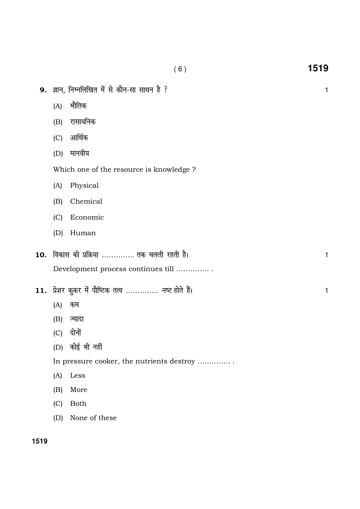|     |     | 9. ज्ञान, निम्नलिखित में से कौन-सा साधन है ? | 1 |
|-----|-----|----------------------------------------------|---|
|     | (A) | भौतिक                                        |   |
|     | (B) | रासायनिक                                     |   |
|     | (C) | आर्थिक                                       |   |
|     | (D) | मानवीय                                       |   |
|     |     | Which one of the resource is knowledge?      |   |
|     | (A) | Physical                                     |   |
|     | (B) | Chemical                                     |   |
|     | (C) | Economic                                     |   |
|     | (D) | Human                                        |   |
| 10. |     | विकास की प्रक्रिया  तक चलती रहती है।         | 1 |
|     |     | Development process continues till           |   |
| 11. |     | प्रेशर कुकर में पौष्टिक तत्व  नष्ट होते हैं। | 1 |
|     | (A) | कम                                           |   |
|     | (B) | ज्यादा                                       |   |
|     | (C) | दोनों                                        |   |
|     |     | (D) कोई भी नहीं                              |   |
|     |     | In pressure cooker, the nutrients destroy    |   |
|     | (A) | Less                                         |   |
|     | (B) | More                                         |   |
|     | (C) | <b>Both</b>                                  |   |
|     | (D) | None of these                                |   |
|     |     |                                              |   |

 $(6)$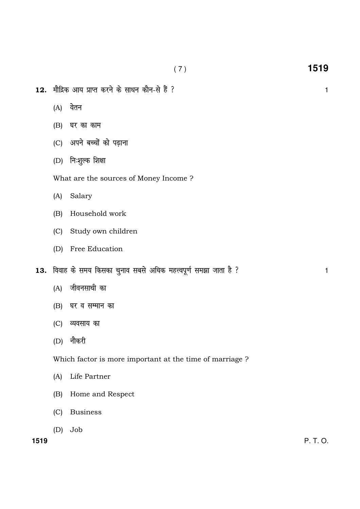- ( 7 ) **1519**
- $12.$  मौद्रिक आय प्राप्त करने के साधन कौन-से हैं ?  $1$ 
	- $(A)$  वेतन
	- $(B)$  घर का काम
	- (C) अपने बच्चों को पढ़ाना
	- $(D)$  निःशुल्क शिक्षा

What are the sources of Money Income ?

- (A) Salary
- (B) Household work
- (C) Study own children
- (D) Free Education
- 13. विवाह के समय किसका चुनाव सबसे अधिक महत्त्वपूर्ण समझा जाता है ?
	- $(A)$  जीवनसाथी का
	- $(B)$  घर व सम्मान का
	- (C) व्यवसाय का
	- $(D)$  नौकरी

Which factor is more important at the time of marriage ?

- (A) Life Partner
- (B) Home and Respect
- (C) Business
- (D) Job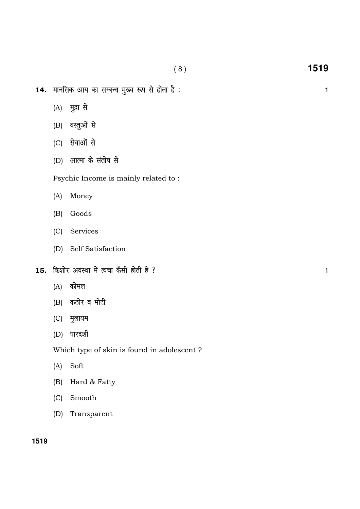- 14. मानसिक आय का सम्बन्ध मुख्य रूप से होता है : बाद कर का सम्बन्ध कर राजनीति के साथ राजनीति ।
	- (A) मुद्रा से
	- (B) वस्तुओं से
	- (C) सेवाओं से
	- (D) आत्मा के संतोष से

Psychic Income is mainly related to :

- (A) Money
- (B) Goods
- (C) Services
- (D) Self Satisfaction
- $15.$  किशोर अवस्था में त्वचा कैसी होती है ? या सामान कर से 11 कर से 11 कर से 11 कर से 11 कर से 11 कर से 11 कर से 11 कर से 11 कर से 11 कर से 11 कर से 11 कर से 11 कर से 11 कर से 11 कर से 11 कर से 11 कर से 11 कर से 11 कर से
	- $(A)$  कोमल
	- $(B)$  कठोर व मोटी
	- (C) मुलायम
	- (D) पारदर्शी

Which type of skin is found in adolescent ?

- (A) Soft
- (B) Hard & Fatty
- (C) Smooth
- (D) Transparent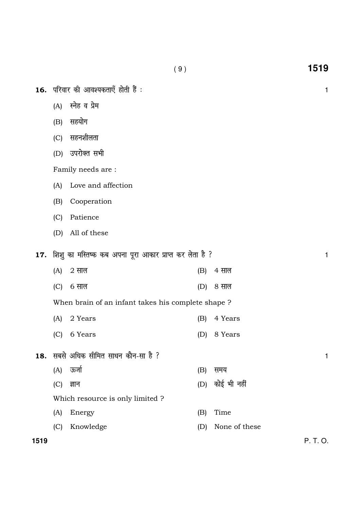|      |     | 16. परिवार की आवश्यकताएँ होती हैं :                     |     |               | 1            |
|------|-----|---------------------------------------------------------|-----|---------------|--------------|
|      | (A) | स्नेह व प्रेम                                           |     |               |              |
|      | (B) | सहयोग                                                   |     |               |              |
|      | (C) | सहनशीलता                                                |     |               |              |
|      | (D) | उपरोक्त सभी                                             |     |               |              |
|      |     | Family needs are :                                      |     |               |              |
|      | (A) | Love and affection                                      |     |               |              |
|      | (B) | Cooperation                                             |     |               |              |
|      | (C) | Patience                                                |     |               |              |
|      | (D) | All of these                                            |     |               |              |
| 17.  |     | शिशु का मस्तिष्क कब अपना पूरा आकार प्राप्त कर लेता है ? |     |               | $\mathbf{1}$ |
|      | (A) | $2 \pi$ ल                                               | (B) | 4 साल         |              |
|      | (C) | 6 साल                                                   | (D) | 8 साल         |              |
|      |     | When brain of an infant takes his complete shape?       |     |               |              |
|      | (A) | 2 Years                                                 | (B) | 4 Years       |              |
|      | (C) | 6 Years                                                 | (D) | 8 Years       |              |
|      |     |                                                         |     |               |              |
| 18.  |     | सबसे अधिक सीमित साधन कौन-सा है ?                        |     |               | 1            |
|      | (A) | ऊर्जा                                                   | (B) | समय           |              |
|      | (C) | ज्ञान                                                   | (D) | कोई भी नहीं   |              |
|      |     | Which resource is only limited ?                        |     |               |              |
|      | (A) | Energy                                                  | (B) | Time          |              |
|      | (C) | Knowledge                                               | (D) | None of these |              |
| 1519 |     |                                                         |     |               | P. T. O.     |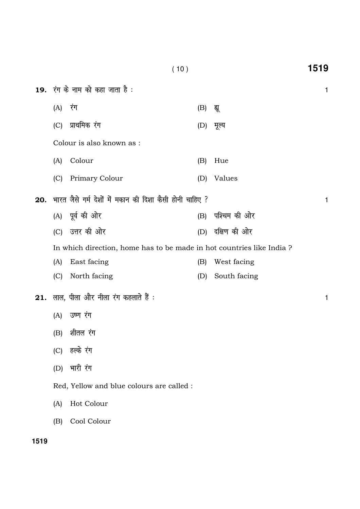|     |         | 19. रंग के नाम को कहा जाता है :                                      |     |              | $\mathbf{1}$ |
|-----|---------|----------------------------------------------------------------------|-----|--------------|--------------|
|     | (A) रंग |                                                                      | (B) | द्यू         |              |
|     | (C)     | प्राथमिक रंग                                                         | (D) | मूल्य        |              |
|     |         | Colour is also known as :                                            |     |              |              |
|     | (A)     | Colour                                                               | (B) | Hue          |              |
|     | (C)     | Primary Colour                                                       | (D) | Values       |              |
| 20. |         | भारत जैसे गर्म देशों में मकान की दिशा कैसी होनी चाहिए ?              |     |              | $\mathbf{1}$ |
|     |         | (A) पूर्व की ओर                                                      | (B) | पश्चिम की ओर |              |
|     |         | (C) उत्तर की ओर                                                      | (D) | दक्षिण की ओर |              |
|     |         | In which direction, home has to be made in hot countries like India? |     |              |              |
|     | (A)     | East facing                                                          | (B) | West facing  |              |
|     | (C)     | North facing                                                         | (D) | South facing |              |
| 21. |         | लाल, पीला और नीला रंग कहलाते हैं :                                   |     |              | $\mathbf{1}$ |
|     | (A)     | उष्ण रंग                                                             |     |              |              |
|     | (B)     | शीतल रंग                                                             |     |              |              |
|     | (C)     | हल्के रंग                                                            |     |              |              |
|     | (D)     | भारी रंग                                                             |     |              |              |
|     |         | Red, Yellow and blue colours are called :                            |     |              |              |
|     | (A)     | Hot Colour                                                           |     |              |              |
|     | (B)     | Cool Colour                                                          |     |              |              |
|     |         |                                                                      |     |              |              |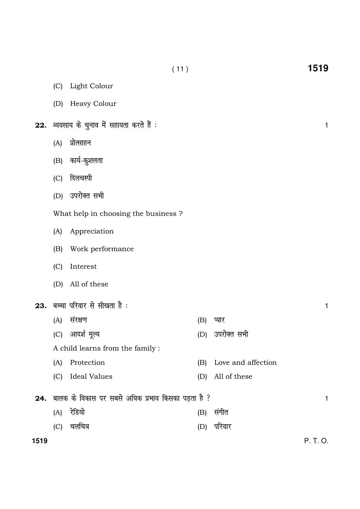|      | (C) | Light Colour                                       |     |                    |              |
|------|-----|----------------------------------------------------|-----|--------------------|--------------|
|      |     | (D) Heavy Colour                                   |     |                    |              |
|      |     | 22. व्यवसाय के चुनाव में सहायता करते हैं :         |     |                    | $\mathbf{1}$ |
|      | (A) | प्रोत्साहन                                         |     |                    |              |
|      | (B) | कार्य-कुशलता                                       |     |                    |              |
|      | (C) | दिलचस्पी                                           |     |                    |              |
|      |     | (D) उपरोक्त सभी                                    |     |                    |              |
|      |     | What help in choosing the business ?               |     |                    |              |
|      | (A) | Appreciation                                       |     |                    |              |
|      | (B) | Work performance                                   |     |                    |              |
|      | (C) | Interest                                           |     |                    |              |
|      | (D) | All of these                                       |     |                    |              |
| 23.  |     | बच्चा परिवार से सीखता है :                         |     |                    | $\mathbf{1}$ |
|      | (A) | संरक्षण                                            | (B) | प्यार              |              |
|      | (C) | आदर्श मूल्य                                        | (D) | उपरोक्त सभी        |              |
|      |     | A child learns from the family :                   |     |                    |              |
|      | (A) | Protection                                         | (B) | Love and affection |              |
|      | (C) | <b>Ideal Values</b>                                | (D) | All of these       |              |
| 24.  |     | बालक के विकास पर सबसे अधिक प्रभाव किसका पड़ता है ? |     |                    | $\mathbf{1}$ |
|      | (A) | रेडियो                                             | (B) | संगीत              |              |
|      | (C) | चलचित्र                                            | (D) | परिवार             |              |
| 1519 |     |                                                    |     |                    | P. T. O.     |

( 11 ) **1519**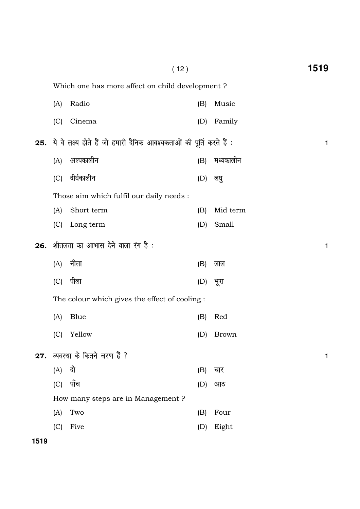|     |     | (12)                                                                 |     |              | 1519 |
|-----|-----|----------------------------------------------------------------------|-----|--------------|------|
|     |     | Which one has more affect on child development?                      |     |              |      |
|     | (A) | Radio                                                                | (B) | Music        |      |
|     | (C) | Cinema                                                               | (D) | Family       |      |
| 25. |     | ये वे लक्ष्य होते हैं जो हमारी दैनिक आवश्यकताओं की पूर्ति करते हैं : |     |              | 1    |
|     | (A) | अल्पकालीन                                                            | (B) | मध्यकालीन    |      |
|     | (C) | दीर्घकालीन                                                           | (D) | लघु          |      |
|     |     | Those aim which fulfil our daily needs :                             |     |              |      |
|     | (A) | Short term                                                           | (B) | Mid term     |      |
|     | (C) | Long term                                                            | (D) | Small        |      |
| 26. |     | शीतलता का आभास देने वाला रंग है :                                    |     |              | 1    |
|     | (A) | नीला                                                                 | (B) | लाल          |      |
|     | (C) | पीला                                                                 | (D) | भूरा         |      |
|     |     | The colour which gives the effect of cooling:                        |     |              |      |
|     | (A) | Blue                                                                 | (B) | Red          |      |
|     | (C) | Yellow                                                               | (D) | <b>Brown</b> |      |
| 27. |     | व्यवस्था के कितने चरण हैं ?                                          |     |              | 1    |
|     | (A) | दो                                                                   | (B) | चार          |      |
|     | (C) | पाँच                                                                 | (D) | आठ           |      |
|     |     | How many steps are in Management?                                    |     |              |      |
|     | (A) | Two                                                                  | (B) | Four         |      |
|     | (C) | Five                                                                 | (D) | Eight        |      |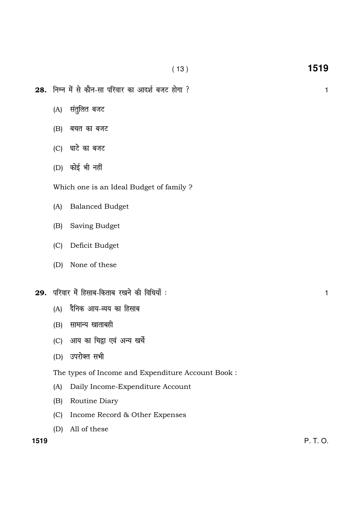$28.$  निम्न में से कौन-सा परिवार का आदर्श बजट होगा ?  $1$ 

- (A) संतुलित बजट
- $(B)$  बचत का बजट
- $(C)$  घाटे का बजट
- $(D)$  कोई भी नहीं

Which one is an Ideal Budget of family ?

- (A) Balanced Budget
- (B) Saving Budget
- (C) Deficit Budget
- (D) None of these
- $29.$  परिवार में हिसाब-किताब रखने की विधियाँ :  $\hspace{1.5cm}$ 
	- $(A)$  दैनिक आय-व्यय का हिसाब
	- $(B)$  सामान्य खाताबही
	- (C) आय का चिहा एवं अन्य खर्चे
	- (D) उपरोक्त सभी

The types of Income and Expenditure Account Book :

- (A) Daily Income-Expenditure Account
- (B) Routine Diary
- (C) Income Record & Other Expenses
- (D) All of these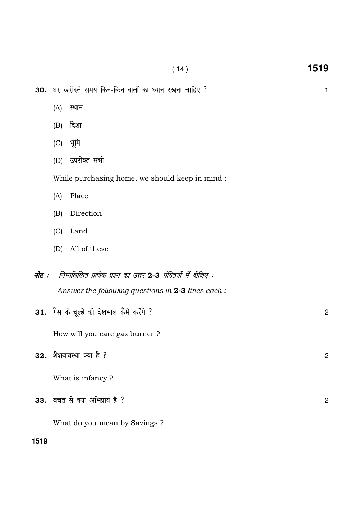- 30. घर खरीदते समय किन-किन बातों का ध्यान रखना चाहिए ?
	- $(A)$  स्थान
	- $(B)$  दिशा
	- $(C)$  भूमि
	- (D) उपरोक्त सभी

While purchasing home, we should keep in mind :

- (A) Place
- (B) Direction
- (C) Land
- (D) All of these
- नोट : निम्नलिखित प्रत्येक प्रश्न का उत्तर 2-3 पंक्तियों में दीजिए : Answer the following questions in 2-3 lines each :
- $31.$  गैस के चूल्हे की देखभाल कैसे करेंगे ? How will you care gas burner ?  $32.$  शैशवावस्था क्या है ?  $\overline{\phantom{a}}$ What is infancy ?  $33.$  बचत से क्या अभिप्राय है ?

What do you mean by Savings ?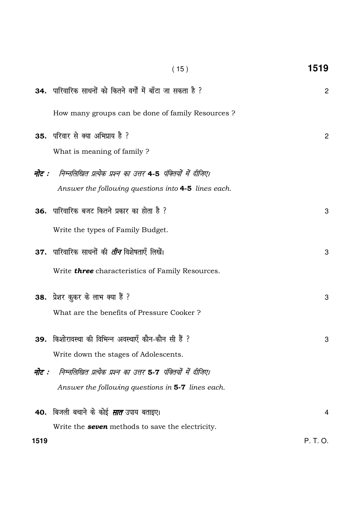|       | (15)                                                         | 1519           |
|-------|--------------------------------------------------------------|----------------|
|       | 34. पारिवारिक साधनों को कितने वर्गों में बाँटा जा सकता है ?  | $\mathbf{2}$   |
|       | How many groups can be done of family Resources?             |                |
|       | 35. परिवार से क्या अभिप्राय है ?                             | $\overline{c}$ |
|       | What is meaning of family?                                   |                |
| नोट : | निम्नलिखित प्रत्येक प्रश्न का उत्तर 4-5 पंक्तियों में दीजिए। |                |
|       | Answer the following questions into 4-5 lines each.          |                |
|       | <b>36.</b> पारिवारिक बजट कितने प्रकार का होता है ?           | 3              |
|       | Write the types of Family Budget.                            |                |
|       | 37.  पारिवारिक साधनों की <i>तीन</i> विशेषताएँ लिखें।         | 3              |
|       | Write <b>three</b> characteristics of Family Resources.      |                |
|       | 38. प्रेशर कुकर के लाभ क्या हैं ?                            | 3              |
|       | What are the benefits of Pressure Cooker?                    |                |
| 39.   | किशोरावस्था की विभिन्न अवस्थाएँ कौन-कौन सी हैं ?             | 3              |
|       | Write down the stages of Adolescents.                        |                |
| नोट : | निम्नलिखित प्रत्येक प्रश्न का उत्तर 5-7 पंक्तियों में दीजिए। |                |
|       | Answer the following questions in 5-7 lines each.            |                |
|       | 40. बिजली बचाने के कोई <i>सात</i> उपाय बताइए।                | $\overline{4}$ |
|       | Write the <b>seven</b> methods to save the electricity.      |                |
| 1519  |                                                              | P. T. O.       |